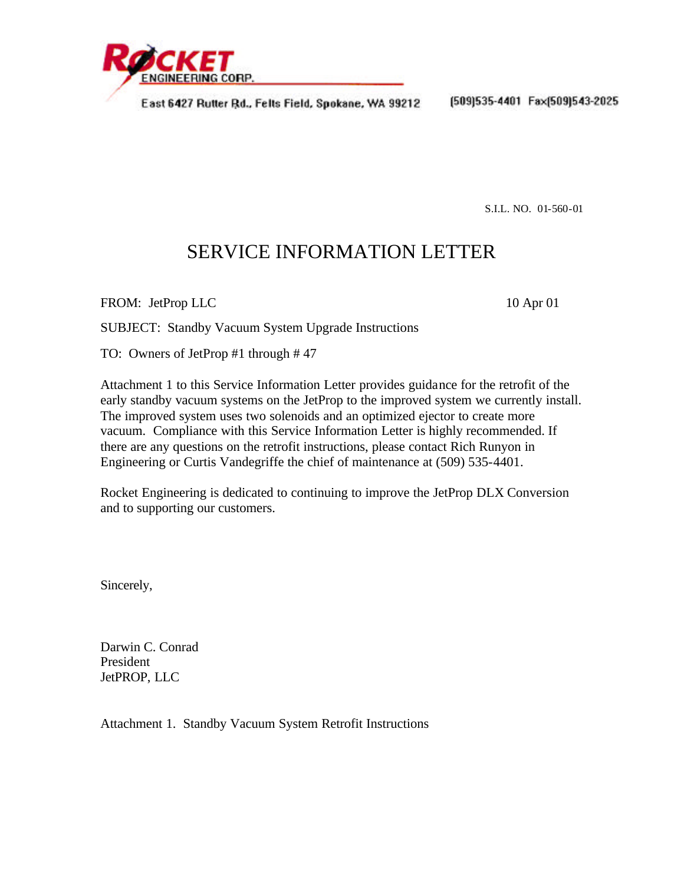

East 6427 Rutter Rd., Felts Field, Spokane, WA 99212

(509)535-4401 Fax(509)543-2025

S.I.L. NO. 01-560-01

## SERVICE INFORMATION LETTER

FROM: JetProp LLC 10 Apr 01

SUBJECT: Standby Vacuum System Upgrade Instructions

TO: Owners of JetProp #1 through # 47

Attachment 1 to this Service Information Letter provides guidance for the retrofit of the early standby vacuum systems on the JetProp to the improved system we currently install. The improved system uses two solenoids and an optimized ejector to create more vacuum. Compliance with this Service Information Letter is highly recommended. If there are any questions on the retrofit instructions, please contact Rich Runyon in Engineering or Curtis Vandegriffe the chief of maintenance at (509) 535-4401.

Rocket Engineering is dedicated to continuing to improve the JetProp DLX Conversion and to supporting our customers.

Sincerely,

Darwin C. Conrad President JetPROP, LLC

Attachment 1. Standby Vacuum System Retrofit Instructions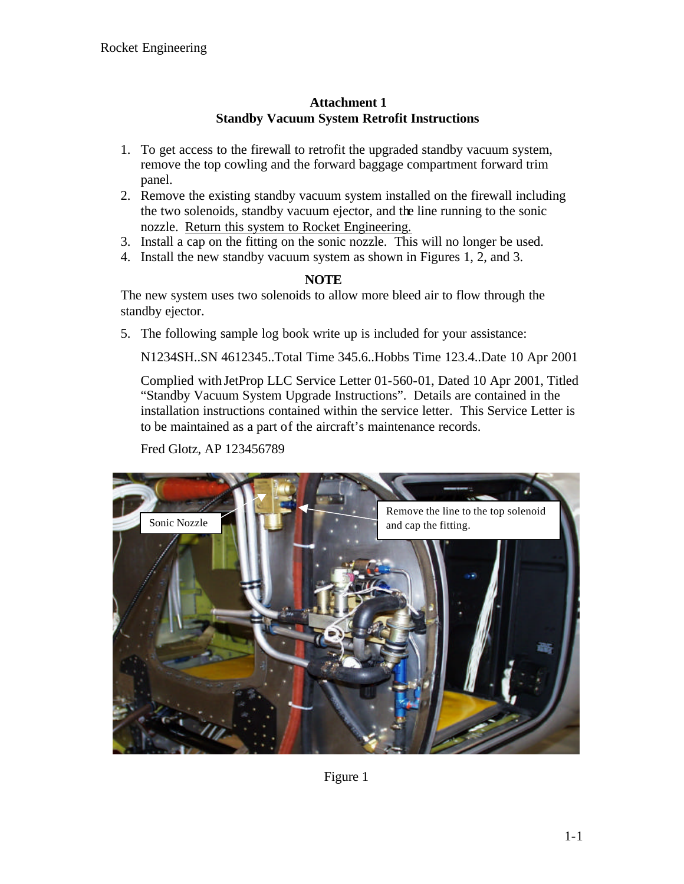## **Attachment 1 Standby Vacuum System Retrofit Instructions**

- 1. To get access to the firewall to retrofit the upgraded standby vacuum system, remove the top cowling and the forward baggage compartment forward trim panel.
- 2. Remove the existing standby vacuum system installed on the firewall including the two solenoids, standby vacuum ejector, and the line running to the sonic nozzle. Return this system to Rocket Engineering.
- 3. Install a cap on the fitting on the sonic nozzle. This will no longer be used.
- 4. Install the new standby vacuum system as shown in Figures 1, 2, and 3.

## **NOTE**

The new system uses two solenoids to allow more bleed air to flow through the standby ejector.

5. The following sample log book write up is included for your assistance:

N1234SH..SN 4612345..Total Time 345.6..Hobbs Time 123.4..Date 10 Apr 2001

Complied with JetProp LLC Service Letter 01-560-01, Dated 10 Apr 2001, Titled "Standby Vacuum System Upgrade Instructions". Details are contained in the installation instructions contained within the service letter. This Service Letter is to be maintained as a part of the aircraft's maintenance records.

Fred Glotz, AP 123456789



Figure 1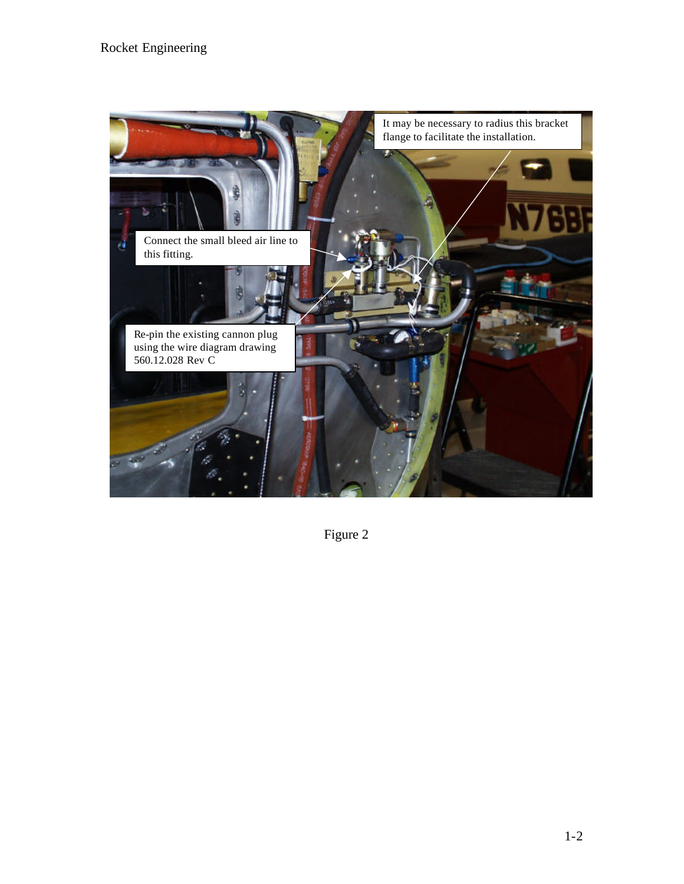## Rocket Engineering



Figure 2